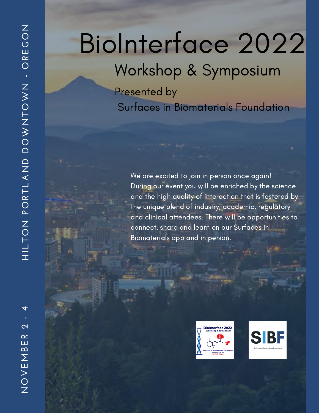# BioInterface 2022

### Workshop & Symposium

Presented by Surfaces in Biomaterials Foundation

We are excited to join in person once again! During our event you will be enriched by the science and the high quality of interaction that is fostered by the unique blend of industry, academic, regulatory and clinical attendees. There will be opportunities to connect, share and learn on our Surfaces in Biomaterials app and in person.





**NO** $\geq$ **E** $\Sigma$ <u>ന</u> **E** $\alpha$ **2 - 4**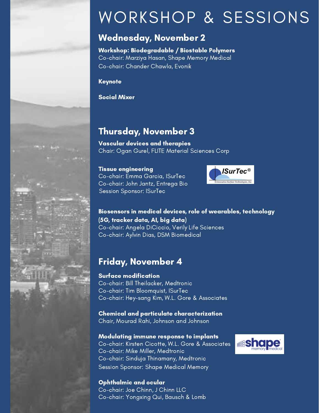### WORKSHOP & SESSIONS

### Wednesday, November 2

Workshop: Biodegradable / Biostable Polymers Co-chair: Marziya Hasan, Shape Memory Medical Co-chair: Chander Chawla, Evonik

Keynote

Social Mixer

### Thursday, November 3

Vascular devices and therapies Chair: Ogan Gurel, FLITE Material Sciences Corp

#### Tissue engineering

Co-chair: Emma Garcia, ISurTec Co-chair: John Jantz, Entrega Bio Session Sponsor: ISurTec



#### Biosensors in medical devices, role of wearables, technology (5G, tracker data, AI, big data) Co-chair: Angela DiCiccio, Verily Life Sciences

Co-chair: Aylvin Dias, DSM Biomedical

### Friday, November 4

#### Surface modification

Co-chair: Bill Theilacker, Medtronic Co-chair: Tim Bloomquist, ISurTec Co-chair: Hey-sang Kim, W.L. Gore & Associates

Chemical and particulate characterization Chair, Mourad Rahi, Johnson and Johnson

### Modulating immune response to implants

Co-chair: Kirsten Cicotte, W.L. Gore & Associates Co-chair: Mike Miller, Medtronic Co-chair: Sinduja Thinamany, Medtronic Session Sponsor: Shape Medical Memory



Ophthalmic and ocular Co-chair: Joe Chinn, J Chinn LLC Co-chair: Yongxing Qui, Bausch & Lomb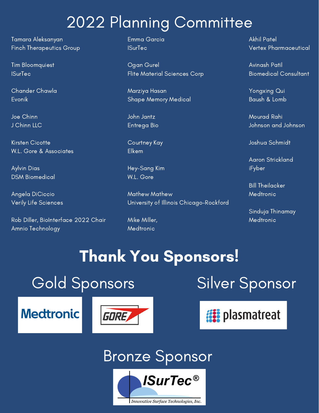### 2022 Planning Committee

Tamara Aleksanyan Finch Therapeutics Group

Tim Bloomquiest **ISurTec** 

Chander Chawla Evonik

Joe Chinn J Chinn LLC

Kirsten Cicotte W.L. Gore & Associates

Aylvin Dias DSM Biomedical

Angela DiCiccio Verily Life Sciences

Rob Diller, BioInterface 2022 Chair Amnio Technology

Emma Garcia ISurTec

Ogan Gurel Flite Material Sciences Corp

Marziya Hasan Shape Memory Medical

John Jantz Entrega Bio

Courtney Kay Elkem

Hey-Sang Kim W.L. Gore

Mathew Mathew University of Illinois Chicago-Rockford

Mike Miller, Medtronic

Akhil Patel Vertex Pharmaceutical

Avinash Patil Biomedical Consultant

Yongxing Qui Baush & Lomb

Mourad Rahi Johnson and Johnson

Joshua Schmidt

Aaron Strickland iFyber

Bill Theilacker Medtronic

Sinduja Thinamay Medtronic

## Thank You Sponsors!

**Medtronic** 





**is plasmatreat** 

### Bronze Sponsor